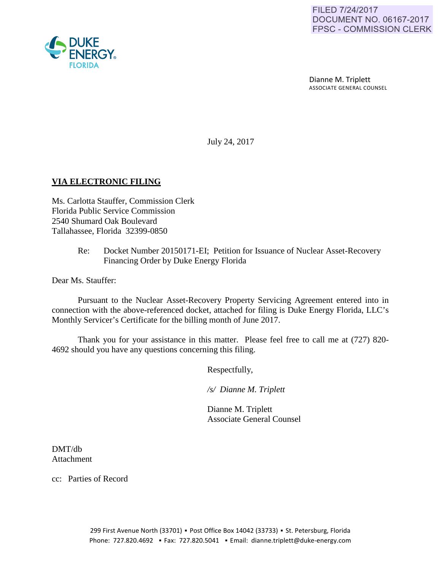Dianne M. Triplett ASSOCIATE GENERAL COUNSEL

July 24, 2017

## **VIA ELECTRONIC FILING**

Ms. Carlotta Stauffer, Commission Clerk Florida Public Service Commission 2540 Shumard Oak Boulevard Tallahassee, Florida 32399-0850

> Re: Docket Number 20150171-EI; Petition for Issuance of Nuclear Asset-Recovery Financing Order by Duke Energy Florida

Dear Ms. Stauffer:

Pursuant to the Nuclear Asset-Recovery Property Servicing Agreement entered into in connection with the above-referenced docket, attached for filing is Duke Energy Florida, LLC's Monthly Servicer's Certificate for the billing month of June 2017.

Thank you for your assistance in this matter. Please feel free to call me at (727) 820- 4692 should you have any questions concerning this filing.

Respectfully,

 */s/ Dianne M. Triplett*

 Dianne M. Triplett Associate General Counsel

DMT/db Attachment

cc: Parties of Record

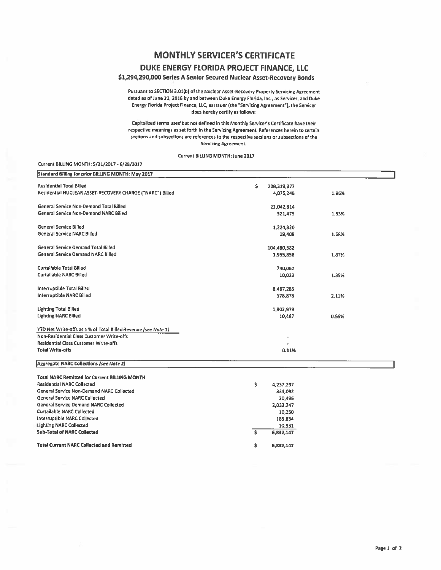## **MONTHLY SERVICER'S CERTIFICATE DUKE ENERGY FLORIDA PROJECT FINANCE, LLC**

## \$1,294,290,000 Series A Senior Secured Nuclear Asset-Recovery Bonds

Pursuant to SECTION 3.01(b) of the Nuclear Asset-Recovery Property Servicing Agreement dated as of June 22, 2016 by and between Duke Energy Florida, Inc., as Servicer, and Duke Energy Florida Project Finance, llC. as Issuer (the "Servicing Agreement"), the Servicer does hereby certify as follows

Capitalized terms used but not defined in this Monthly Servicer's Certlficate have their respective meanings as set forth In the Servicing Agreement, References herein to certain sections and subsections are references to the respective sect'ons or subsections of the Servicing Agreement.

Current BILLING MONTH: June 2017

Current BILUNG MONTH: 5/31/2017 • 6/2B/2017

| <b>Residential Total Billed</b><br>\$<br>208, 319, 377<br>Residential NUCLEAR ASSET-RECOVERY CHARGE ("NARC") Billed<br>4,075,248<br>1.96%<br>General Service Non-Demand Total Billed<br>21,042,814<br>General Service Non-Demand NARC Billed<br>321,475<br>1.53%<br><b>General Service Billed</b><br>1,224,820<br><b>General Service NARC Billed</b><br>19,409<br>1.58%<br>General Service Demand Total Billed<br>104,480,582<br><b>General Service Demand NARC Billed</b><br>1,955,858<br>1.87%<br><b>Curtailable Total Billed</b><br>740,062<br><b>Curtailable NARC Billed</b><br>10,023<br>1.35%<br><b>Interruptible Total Billed</b><br>8,467,285<br><b>Interruptible NARC Billed</b><br>178,878<br>2.11%<br><b>Lighting Total Billed</b><br>1,902,979<br><b>Lighting NARC Billed</b><br>10,487<br>0.55%<br>YTD Net Write-offs as a % of Total Billed Revenue (see Note 1)<br>Non-Residential Class Customer Write-offs<br><b>Residential Class Customer Write-offs</b><br><b>Total Write-offs</b><br>0.11%<br><b>Total NARC Remitted for Current BILLING MONTH</b><br><b>Residential NARC Collected</b><br>Ŝ<br>4,237,297<br>General Service Non-Demand NARC Collected<br>334,092<br><b>General Service NARC Collected</b><br>20,496<br><b>General Service Demand NARC Collected</b><br>2,033,247<br><b>Curtailable NARC Collected</b><br>10,250<br><b>Interruptible NARC Collected</b><br>185,834<br><b>Lighting NARC Collected</b><br>10,931 | Standard Billing for prior BILLING MONTH: May 2017 |  |
|-----------------------------------------------------------------------------------------------------------------------------------------------------------------------------------------------------------------------------------------------------------------------------------------------------------------------------------------------------------------------------------------------------------------------------------------------------------------------------------------------------------------------------------------------------------------------------------------------------------------------------------------------------------------------------------------------------------------------------------------------------------------------------------------------------------------------------------------------------------------------------------------------------------------------------------------------------------------------------------------------------------------------------------------------------------------------------------------------------------------------------------------------------------------------------------------------------------------------------------------------------------------------------------------------------------------------------------------------------------------------------------------------------------------------------------------------------|----------------------------------------------------|--|
|                                                                                                                                                                                                                                                                                                                                                                                                                                                                                                                                                                                                                                                                                                                                                                                                                                                                                                                                                                                                                                                                                                                                                                                                                                                                                                                                                                                                                                                     |                                                    |  |
|                                                                                                                                                                                                                                                                                                                                                                                                                                                                                                                                                                                                                                                                                                                                                                                                                                                                                                                                                                                                                                                                                                                                                                                                                                                                                                                                                                                                                                                     |                                                    |  |
|                                                                                                                                                                                                                                                                                                                                                                                                                                                                                                                                                                                                                                                                                                                                                                                                                                                                                                                                                                                                                                                                                                                                                                                                                                                                                                                                                                                                                                                     |                                                    |  |
|                                                                                                                                                                                                                                                                                                                                                                                                                                                                                                                                                                                                                                                                                                                                                                                                                                                                                                                                                                                                                                                                                                                                                                                                                                                                                                                                                                                                                                                     |                                                    |  |
|                                                                                                                                                                                                                                                                                                                                                                                                                                                                                                                                                                                                                                                                                                                                                                                                                                                                                                                                                                                                                                                                                                                                                                                                                                                                                                                                                                                                                                                     |                                                    |  |
|                                                                                                                                                                                                                                                                                                                                                                                                                                                                                                                                                                                                                                                                                                                                                                                                                                                                                                                                                                                                                                                                                                                                                                                                                                                                                                                                                                                                                                                     |                                                    |  |
|                                                                                                                                                                                                                                                                                                                                                                                                                                                                                                                                                                                                                                                                                                                                                                                                                                                                                                                                                                                                                                                                                                                                                                                                                                                                                                                                                                                                                                                     |                                                    |  |
|                                                                                                                                                                                                                                                                                                                                                                                                                                                                                                                                                                                                                                                                                                                                                                                                                                                                                                                                                                                                                                                                                                                                                                                                                                                                                                                                                                                                                                                     |                                                    |  |
|                                                                                                                                                                                                                                                                                                                                                                                                                                                                                                                                                                                                                                                                                                                                                                                                                                                                                                                                                                                                                                                                                                                                                                                                                                                                                                                                                                                                                                                     |                                                    |  |
|                                                                                                                                                                                                                                                                                                                                                                                                                                                                                                                                                                                                                                                                                                                                                                                                                                                                                                                                                                                                                                                                                                                                                                                                                                                                                                                                                                                                                                                     |                                                    |  |
|                                                                                                                                                                                                                                                                                                                                                                                                                                                                                                                                                                                                                                                                                                                                                                                                                                                                                                                                                                                                                                                                                                                                                                                                                                                                                                                                                                                                                                                     |                                                    |  |
|                                                                                                                                                                                                                                                                                                                                                                                                                                                                                                                                                                                                                                                                                                                                                                                                                                                                                                                                                                                                                                                                                                                                                                                                                                                                                                                                                                                                                                                     |                                                    |  |
|                                                                                                                                                                                                                                                                                                                                                                                                                                                                                                                                                                                                                                                                                                                                                                                                                                                                                                                                                                                                                                                                                                                                                                                                                                                                                                                                                                                                                                                     |                                                    |  |
|                                                                                                                                                                                                                                                                                                                                                                                                                                                                                                                                                                                                                                                                                                                                                                                                                                                                                                                                                                                                                                                                                                                                                                                                                                                                                                                                                                                                                                                     |                                                    |  |
|                                                                                                                                                                                                                                                                                                                                                                                                                                                                                                                                                                                                                                                                                                                                                                                                                                                                                                                                                                                                                                                                                                                                                                                                                                                                                                                                                                                                                                                     |                                                    |  |
|                                                                                                                                                                                                                                                                                                                                                                                                                                                                                                                                                                                                                                                                                                                                                                                                                                                                                                                                                                                                                                                                                                                                                                                                                                                                                                                                                                                                                                                     |                                                    |  |
|                                                                                                                                                                                                                                                                                                                                                                                                                                                                                                                                                                                                                                                                                                                                                                                                                                                                                                                                                                                                                                                                                                                                                                                                                                                                                                                                                                                                                                                     |                                                    |  |
|                                                                                                                                                                                                                                                                                                                                                                                                                                                                                                                                                                                                                                                                                                                                                                                                                                                                                                                                                                                                                                                                                                                                                                                                                                                                                                                                                                                                                                                     |                                                    |  |
|                                                                                                                                                                                                                                                                                                                                                                                                                                                                                                                                                                                                                                                                                                                                                                                                                                                                                                                                                                                                                                                                                                                                                                                                                                                                                                                                                                                                                                                     |                                                    |  |
|                                                                                                                                                                                                                                                                                                                                                                                                                                                                                                                                                                                                                                                                                                                                                                                                                                                                                                                                                                                                                                                                                                                                                                                                                                                                                                                                                                                                                                                     |                                                    |  |
|                                                                                                                                                                                                                                                                                                                                                                                                                                                                                                                                                                                                                                                                                                                                                                                                                                                                                                                                                                                                                                                                                                                                                                                                                                                                                                                                                                                                                                                     |                                                    |  |
|                                                                                                                                                                                                                                                                                                                                                                                                                                                                                                                                                                                                                                                                                                                                                                                                                                                                                                                                                                                                                                                                                                                                                                                                                                                                                                                                                                                                                                                     |                                                    |  |
|                                                                                                                                                                                                                                                                                                                                                                                                                                                                                                                                                                                                                                                                                                                                                                                                                                                                                                                                                                                                                                                                                                                                                                                                                                                                                                                                                                                                                                                     |                                                    |  |
|                                                                                                                                                                                                                                                                                                                                                                                                                                                                                                                                                                                                                                                                                                                                                                                                                                                                                                                                                                                                                                                                                                                                                                                                                                                                                                                                                                                                                                                     |                                                    |  |
|                                                                                                                                                                                                                                                                                                                                                                                                                                                                                                                                                                                                                                                                                                                                                                                                                                                                                                                                                                                                                                                                                                                                                                                                                                                                                                                                                                                                                                                     |                                                    |  |
|                                                                                                                                                                                                                                                                                                                                                                                                                                                                                                                                                                                                                                                                                                                                                                                                                                                                                                                                                                                                                                                                                                                                                                                                                                                                                                                                                                                                                                                     |                                                    |  |
|                                                                                                                                                                                                                                                                                                                                                                                                                                                                                                                                                                                                                                                                                                                                                                                                                                                                                                                                                                                                                                                                                                                                                                                                                                                                                                                                                                                                                                                     |                                                    |  |
|                                                                                                                                                                                                                                                                                                                                                                                                                                                                                                                                                                                                                                                                                                                                                                                                                                                                                                                                                                                                                                                                                                                                                                                                                                                                                                                                                                                                                                                     | Aggregate NARC Collections (see Note 2)            |  |
|                                                                                                                                                                                                                                                                                                                                                                                                                                                                                                                                                                                                                                                                                                                                                                                                                                                                                                                                                                                                                                                                                                                                                                                                                                                                                                                                                                                                                                                     |                                                    |  |
|                                                                                                                                                                                                                                                                                                                                                                                                                                                                                                                                                                                                                                                                                                                                                                                                                                                                                                                                                                                                                                                                                                                                                                                                                                                                                                                                                                                                                                                     |                                                    |  |
|                                                                                                                                                                                                                                                                                                                                                                                                                                                                                                                                                                                                                                                                                                                                                                                                                                                                                                                                                                                                                                                                                                                                                                                                                                                                                                                                                                                                                                                     |                                                    |  |
|                                                                                                                                                                                                                                                                                                                                                                                                                                                                                                                                                                                                                                                                                                                                                                                                                                                                                                                                                                                                                                                                                                                                                                                                                                                                                                                                                                                                                                                     |                                                    |  |
|                                                                                                                                                                                                                                                                                                                                                                                                                                                                                                                                                                                                                                                                                                                                                                                                                                                                                                                                                                                                                                                                                                                                                                                                                                                                                                                                                                                                                                                     |                                                    |  |
|                                                                                                                                                                                                                                                                                                                                                                                                                                                                                                                                                                                                                                                                                                                                                                                                                                                                                                                                                                                                                                                                                                                                                                                                                                                                                                                                                                                                                                                     |                                                    |  |
|                                                                                                                                                                                                                                                                                                                                                                                                                                                                                                                                                                                                                                                                                                                                                                                                                                                                                                                                                                                                                                                                                                                                                                                                                                                                                                                                                                                                                                                     |                                                    |  |
|                                                                                                                                                                                                                                                                                                                                                                                                                                                                                                                                                                                                                                                                                                                                                                                                                                                                                                                                                                                                                                                                                                                                                                                                                                                                                                                                                                                                                                                     |                                                    |  |
|                                                                                                                                                                                                                                                                                                                                                                                                                                                                                                                                                                                                                                                                                                                                                                                                                                                                                                                                                                                                                                                                                                                                                                                                                                                                                                                                                                                                                                                     |                                                    |  |
| <b>Sub-Total of NARC Collected</b><br>\$<br>6,832,147                                                                                                                                                                                                                                                                                                                                                                                                                                                                                                                                                                                                                                                                                                                                                                                                                                                                                                                                                                                                                                                                                                                                                                                                                                                                                                                                                                                               |                                                    |  |
| <b>Total Current NARC Collected and Remitted</b><br>\$<br>6,832.147                                                                                                                                                                                                                                                                                                                                                                                                                                                                                                                                                                                                                                                                                                                                                                                                                                                                                                                                                                                                                                                                                                                                                                                                                                                                                                                                                                                 |                                                    |  |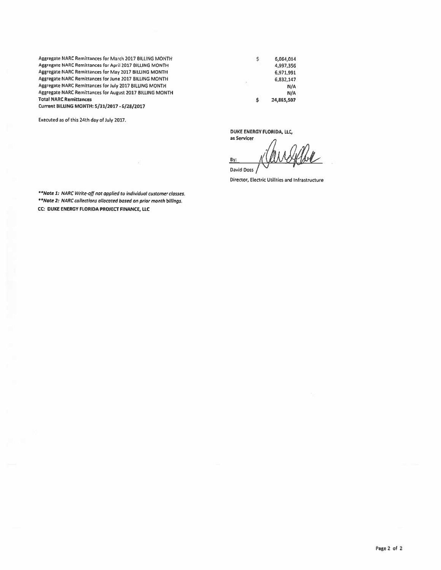Aggregate NARC Remittances for March 2017 BilliNG MONTH Asareaate NARC Remittances for April 2017 BILLING MONTH Aggregate NARC Remittances for May 2017 BilliNG MONTH Aggregate NARC Remittances for June 2017 BILLING MONTH Aggresate NARC Remittances for July 2017 BILUNG MONTH Aggregate NARC Remittances for August 2017 BilliNG MONTH Total NARC Remittances Current BllUNG MONTH: 5/31/2017 • 6/28/2017

Executed as of this 24th day of July 2017.

 $$ 6,064,014$ 4,997,356 6,971,991 6,832,147 N/A N/A 24,865,507

DUKE ENERGY FlORIDA, LlC,

Ś.

as Servicer By:

David Ooss Director, Electric Utilities and Infrastructure

*.. Note* J: *NARC Writt·off not applied to individual customer classes. ••Nate l : NARC collections allocated based on prior month billings.*  CC: DUK£ ENERGY FlORIDA PROJECT FINANCE, UC